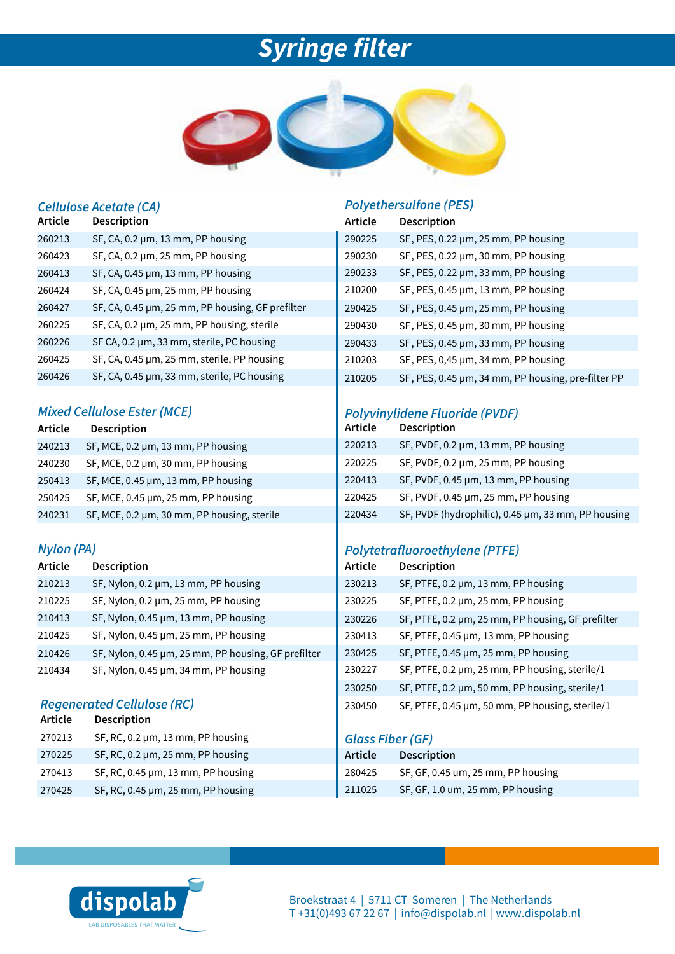# *Syringe filter*



#### *Cellulose Acetate (CA)*

| <b>Article</b> | Description                                      |
|----------------|--------------------------------------------------|
| 260213         | SF, CA, 0.2 µm, 13 mm, PP housing                |
| 260423         | SF, CA, 0.2 µm, 25 mm, PP housing                |
| 260413         | SF, CA, 0.45 µm, 13 mm, PP housing               |
| 260424         | SF, CA, 0.45 $\mu$ m, 25 mm, PP housing          |
| 260427         | SF, CA, 0.45 µm, 25 mm, PP housing, GF prefilter |
| 260225         | SF, CA, 0.2 µm, 25 mm, PP housing, sterile       |
| 260226         | SF CA, 0.2 µm, 33 mm, sterile, PC housing        |
| 260425         | SF, CA, 0.45 µm, 25 mm, sterile, PP housing      |
| 260426         | SF, CA, 0.45 µm, 33 mm, sterile, PC housing      |

### *Mixed Cellulose Ester (MCE)*

| Article | Description                                 |
|---------|---------------------------------------------|
| 240213  | SF, MCE, 0.2 µm, 13 mm, PP housing          |
| 240230  | SF, MCE, 0.2 µm, 30 mm, PP housing          |
| 250413  | SF, MCE, 0.45 µm, 13 mm, PP housing         |
| 250425  | SF, MCE, 0.45 µm, 25 mm, PP housing         |
| 240231  | SF, MCE, 0.2 µm, 30 mm, PP housing, sterile |

# *Nylon (PA)*

| Article | Description                                         |
|---------|-----------------------------------------------------|
| 210213  | SF, Nylon, 0.2 µm, 13 mm, PP housing                |
| 210225  | SF, Nylon, 0.2 µm, 25 mm, PP housing                |
| 210413  | SF, Nylon, 0.45 µm, 13 mm, PP housing               |
| 210425  | SF, Nylon, 0.45 µm, 25 mm, PP housing               |
| 210426  | SF, Nylon, 0.45 µm, 25 mm, PP housing, GF prefilter |
| 210434  | SF, Nylon, 0.45 µm, 34 mm, PP housing               |

# *Regenerated Cellulose (RC)*

| Article | <b>Description</b>                 |                  |
|---------|------------------------------------|------------------|
| 270213  | SF, RC, 0.2 µm, 13 mm, PP housing  | Gl               |
| 270225  | SF, RC, 0.2 µm, 25 mm, PP housing  | Art              |
| 270413  | SF, RC, 0.45 µm, 13 mm, PP housing | $\overline{280}$ |
| 270425  | SF, RC, 0.45 µm, 25 mm, PP housing | 21.              |

# *Polyethersulfone (PES)*

| Article | <b>Description</b>                                 |
|---------|----------------------------------------------------|
| 290225  | SF, PES, 0.22 µm, 25 mm, PP housing                |
| 290230  | $SF, PES, 0.22 \mu m, 30 \mu m, PP$ housing        |
| 290233  | SF, PES, 0.22 µm, 33 mm, PP housing                |
| 210200  | SF, PES, 0.45 µm, 13 mm, PP housing                |
| 290425  | SF, PES, 0.45 µm, 25 mm, PP housing                |
| 290430  | SF, PES, 0.45 µm, 30 mm, PP housing                |
| 290433  | SF, PES, 0.45 µm, 33 mm, PP housing                |
| 210203  | SF, PES, 0,45 µm, 34 mm, PP housing                |
| 210205  | SF, PES, 0.45 µm, 34 mm, PP housing, pre-filter PP |
|         |                                                    |

### *Polyvinylidene Fluoride (PVDF)*

| Article | <b>Description</b>                                 |
|---------|----------------------------------------------------|
| 220213  | SF, PVDF, 0.2 µm, 13 mm, PP housing                |
| 220225  | SF, PVDF, $0.2 \mu m$ , 25 mm, PP housing          |
| 220413  | SF, PVDF, 0.45 µm, 13 mm, PP housing               |
| 220425  | SF, PVDF, 0.45 $\mu$ m, 25 mm, PP housing          |
| 220434  | SF, PVDF (hydrophilic), 0.45 µm, 33 mm, PP housing |

# *Polytetrafluoroethylene (PTFE)*

| Article | <b>Description</b>                                  |
|---------|-----------------------------------------------------|
| 230213  | SF, PTFE, 0.2 µm, 13 mm, PP housing                 |
| 230225  | SF, PTFE, $0.2 \mu m$ , 25 mm, PP housing           |
| 230226  | SF, PTFE, 0.2 µm, 25 mm, PP housing, GF prefilter   |
| 230413  | SF, PTFE, $0.45 \mu m$ , 13 mm, PP housing          |
| 230425  | SF, PTFE, 0.45 µm, 25 mm, PP housing                |
| 230227  | SF, PTFE, 0.2 $\mu$ m, 25 mm, PP housing, sterile/1 |
| 230250  | SF, PTFE, 0.2 µm, 50 mm, PP housing, sterile/1      |
| 230450  | SF, PTFE, 0.45 µm, 50 mm, PP housing, sterile/1     |

#### **ass Fiber (GF)**

| Article | <b>Description</b>                 |
|---------|------------------------------------|
| 280425  | SF, GF, 0.45 um, 25 mm, PP housing |
| 211025  | SF, GF, 1.0 um, 25 mm, PP housing  |